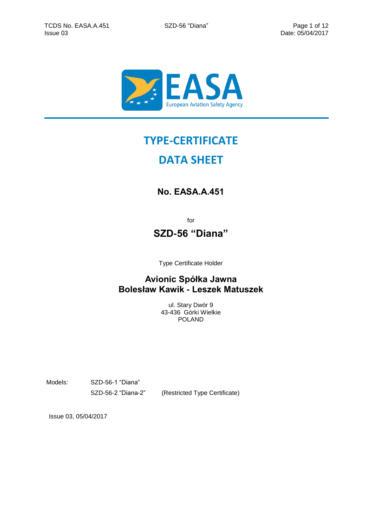

# **TYPE-CERTIFICATE**

# **DATA SHEET**

# **No. EASA.A.451**

for

## **SZD-56 "Diana"**

Type Certificate Holder

### **Avionic Spółka Jawna Bolesław Kawik - Leszek Matuszek**

ul. Stary Dwór 9 43-436 Górki Wielkie POLAND

Models: SZD-56-1 "Diana"

SZD-56-2 "Diana-2" (Restricted Type Certificate)

Issue 03, 05/04/2017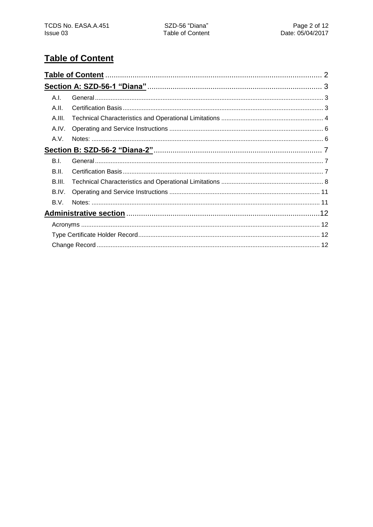# <span id="page-1-0"></span>**Table of Content**

| A.I.   |  |
|--------|--|
| A.II.  |  |
| A.III. |  |
| A.IV.  |  |
| A.V.   |  |
|        |  |
| B.I.   |  |
| B.II.  |  |
| B.III. |  |
| B.IV.  |  |
| B.V.   |  |
|        |  |
|        |  |
|        |  |
|        |  |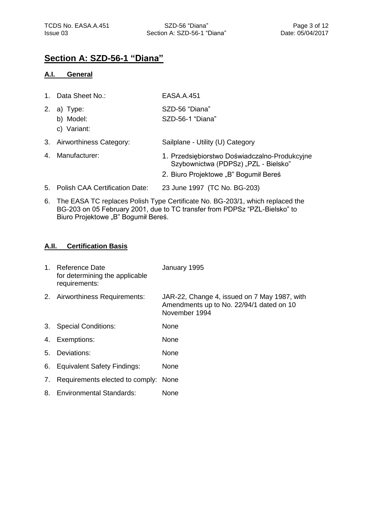### <span id="page-2-0"></span>**Section A: SZD-56-1 "Diana"**

#### <span id="page-2-1"></span>**A.I. General**

|    | 1. Data Sheet No.:                   | <b>EASA.A.451</b>                                                                                                              |
|----|--------------------------------------|--------------------------------------------------------------------------------------------------------------------------------|
| 2. | a) Type:<br>b) Model:<br>c) Variant: | SZD-56 "Diana"<br>SZD-56-1 "Diana"                                                                                             |
|    | 3. Airworthiness Category:           | Sailplane - Utility (U) Category                                                                                               |
|    | 4. Manufacturer:                     | 1. Przedsiębiorstwo Doświadczalno-Produkcyjne<br>Szybownictwa (PDPSz) "PZL - Bielsko"<br>2. Biuro Projektowe "B" Bogumił Bereś |
|    | 5. Polish CAA Certification Date:    | 23 June 1997 (TC No. BG-203)                                                                                                   |

6. The EASA TC replaces Polish Type Certificate No. BG-203/1, which replaced the BG-203 on 05 February 2001, due to TC transfer from PDPSz "PZL-Bielsko" to Biuro Projektowe "B" Bogumił Bereś.

#### <span id="page-2-2"></span>**A.II. Certification Basis**

|    | 1. Reference Date<br>for determining the applicable<br>requirements: | January 1995                                                                                              |
|----|----------------------------------------------------------------------|-----------------------------------------------------------------------------------------------------------|
|    | 2. Airworthiness Requirements:                                       | JAR-22, Change 4, issued on 7 May 1987, with<br>Amendments up to No. 22/94/1 dated on 10<br>November 1994 |
|    | 3. Special Conditions:                                               | None                                                                                                      |
|    | 4. Exemptions:                                                       | None                                                                                                      |
|    | 5. Deviations:                                                       | None                                                                                                      |
|    | 6. Equivalent Safety Findings:                                       | None                                                                                                      |
| 7. | Requirements elected to comply: None                                 |                                                                                                           |
|    | 8. Environmental Standards:                                          | None                                                                                                      |
|    |                                                                      |                                                                                                           |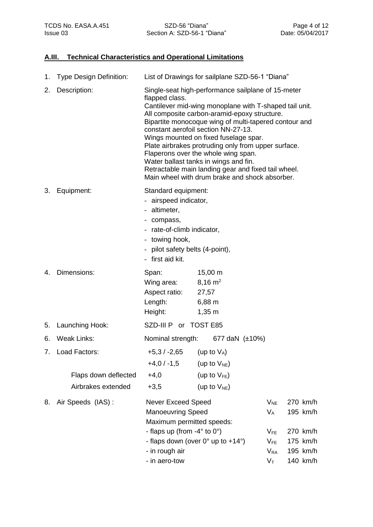### <span id="page-3-0"></span>**A.III. Technical Characteristics and Operational Limitations**

|    | 1. Type Design Definition:                                     | List of Drawings for sailplane SZD-56-1 "Diana"                                                                                                                                                                                                                                                                                                                                                                                                                                                                                                                         |                                                                               |                                                                                  |  |                                                                      |
|----|----------------------------------------------------------------|-------------------------------------------------------------------------------------------------------------------------------------------------------------------------------------------------------------------------------------------------------------------------------------------------------------------------------------------------------------------------------------------------------------------------------------------------------------------------------------------------------------------------------------------------------------------------|-------------------------------------------------------------------------------|----------------------------------------------------------------------------------|--|----------------------------------------------------------------------|
| 2. | Description:                                                   | Single-seat high-performance sailplane of 15-meter<br>flapped class.<br>Cantilever mid-wing monoplane with T-shaped tail unit.<br>All composite carbon-aramid-epoxy structure.<br>Bipartite monocoque wing of multi-tapered contour and<br>constant aerofoil section NN-27-13.<br>Wings mounted on fixed fuselage spar.<br>Plate airbrakes protruding only from upper surface.<br>Flaperons over the whole wing span.<br>Water ballast tanks in wings and fin.<br>Retractable main landing gear and fixed tail wheel.<br>Main wheel with drum brake and shock absorber. |                                                                               |                                                                                  |  |                                                                      |
| 3. | Equipment:                                                     | Standard equipment:<br>- airspeed indicator,<br>- altimeter,<br>- compass,<br>- rate-of-climb indicator,<br>- towing hook,<br>- pilot safety belts (4-point),<br>- first aid kit.                                                                                                                                                                                                                                                                                                                                                                                       |                                                                               |                                                                                  |  |                                                                      |
| 4. | Dimensions:                                                    | Span:<br>Wing area:<br>Aspect ratio:<br>Length:<br>Height:                                                                                                                                                                                                                                                                                                                                                                                                                                                                                                              | $15,00 \; m$<br>$8,16 \text{ m}^2$<br>27,57<br>$6,88 \; m$<br>$1,35 \; m$     |                                                                                  |  |                                                                      |
|    | 5. Launching Hook:                                             | SZD-III P or TOST E85                                                                                                                                                                                                                                                                                                                                                                                                                                                                                                                                                   |                                                                               |                                                                                  |  |                                                                      |
| 6. | Weak Links:                                                    | Nominal strength:                                                                                                                                                                                                                                                                                                                                                                                                                                                                                                                                                       | 677 daN $(\pm 10\%)$                                                          |                                                                                  |  |                                                                      |
|    | 7. Load Factors:<br>Flaps down deflected<br>Airbrakes extended | $+5,3/ -2,65$<br>$+4,0/ -1,5$<br>$+4,0$<br>$+3,5$                                                                                                                                                                                                                                                                                                                                                                                                                                                                                                                       | (up to $V_A$ )<br>(up to $V_{NE}$ )<br>(up to $V_{FE}$ )<br>(up to $V_{NE}$ ) |                                                                                  |  |                                                                      |
| 8. | Air Speeds (IAS):                                              | <b>Never Exceed Speed</b><br><b>Manoeuvring Speed</b><br>Maximum permitted speeds:<br>- flaps up (from $-4^{\circ}$ to 0°)<br>- in rough air<br>- in aero-tow                                                                                                                                                                                                                                                                                                                                                                                                           | - flaps down (over 0° up to +14°)                                             | $V_{NE}$<br>$V_A$<br>$V_{FE}$<br>$V_{FE}$<br>$V_{RA}$<br>$\mathsf{V}_\mathsf{T}$ |  | 270 km/h<br>195 km/h<br>270 km/h<br>175 km/h<br>195 km/h<br>140 km/h |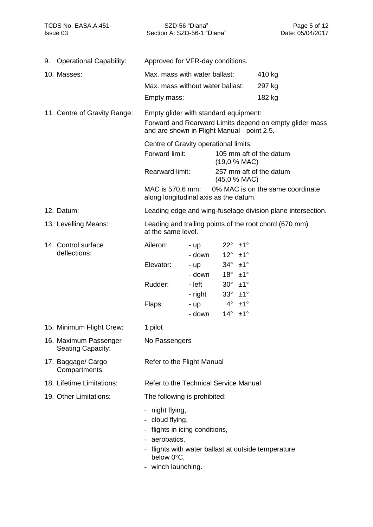Section A: SZD-56-1 "Diana" Issue 03 Date: 05/04/2017

| 9. | <b>Operational Capability:</b>             | Approved for VFR-day conditions.                                                                                                                     |                   |                                                    |                         |                                                             |
|----|--------------------------------------------|------------------------------------------------------------------------------------------------------------------------------------------------------|-------------------|----------------------------------------------------|-------------------------|-------------------------------------------------------------|
|    | 10. Masses:                                | Max. mass with water ballast:                                                                                                                        |                   |                                                    |                         | 410 kg                                                      |
|    |                                            | Max. mass without water ballast:                                                                                                                     |                   |                                                    |                         | 297 kg                                                      |
|    |                                            | Empty mass:                                                                                                                                          |                   |                                                    |                         | 182 kg                                                      |
|    | 11. Centre of Gravity Range:               | Empty glider with standard equipment:<br>Forward and Rearward Limits depend on empty glider mass<br>and are shown in Flight Manual - point 2.5.      |                   |                                                    |                         |                                                             |
|    |                                            | Centre of Gravity operational limits:                                                                                                                |                   |                                                    |                         |                                                             |
|    |                                            | Forward limit:                                                                                                                                       |                   | (19,0 % MAC)                                       |                         | 105 mm aft of the datum                                     |
|    |                                            | <b>Rearward limit:</b>                                                                                                                               |                   | (45,0 % MAC)                                       |                         | 257 mm aft of the datum                                     |
|    |                                            | MAC is 570,6 mm;<br>along longitudinal axis as the datum.                                                                                            |                   |                                                    |                         | 0% MAC is on the same coordinate                            |
|    | 12. Datum:                                 |                                                                                                                                                      |                   |                                                    |                         | Leading edge and wing-fuselage division plane intersection. |
|    | 13. Levelling Means:                       | Leading and trailing points of the root chord (670 mm)<br>at the same level.                                                                         |                   |                                                    |                         |                                                             |
|    | 14. Control surface<br>deflections:        | Aileron:                                                                                                                                             | - up<br>- down    | $22^\circ \pm 1^\circ$<br>$12^\circ \pm 1^\circ$   |                         |                                                             |
|    |                                            | Elevator:                                                                                                                                            | - up<br>- down    | $34^\circ$ $\pm 1^\circ$<br>$18^\circ \pm 1^\circ$ |                         |                                                             |
|    |                                            | Rudder:                                                                                                                                              | - left<br>- right | $30^\circ \pm 1^\circ$<br>$33^\circ \pm 1^\circ$   |                         |                                                             |
|    |                                            | Flaps:                                                                                                                                               | - up              |                                                    | $4^\circ$ $\pm 1^\circ$ |                                                             |
|    |                                            |                                                                                                                                                      | - down            | $14^\circ$ $\pm 1^\circ$                           |                         |                                                             |
|    | 15. Minimum Flight Crew:                   | 1 pilot                                                                                                                                              |                   |                                                    |                         |                                                             |
|    | 16. Maximum Passenger<br>Seating Capacity: | No Passengers                                                                                                                                        |                   |                                                    |                         |                                                             |
|    | 17. Baggage/ Cargo<br>Compartments:        | Refer to the Flight Manual                                                                                                                           |                   |                                                    |                         |                                                             |
|    | 18. Lifetime Limitations:                  | Refer to the Technical Service Manual                                                                                                                |                   |                                                    |                         |                                                             |
|    | 19. Other Limitations:                     | The following is prohibited:                                                                                                                         |                   |                                                    |                         |                                                             |
|    |                                            | - night flying,<br>cloud flying,<br>flights in icing conditions,<br>- aerobatics,<br>flights with water ballast at outside temperature<br>below 0°C, |                   |                                                    |                         |                                                             |

- winch launching.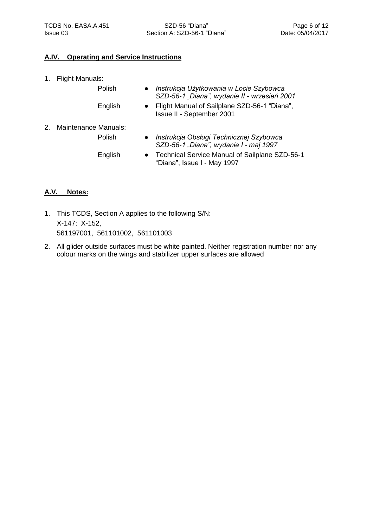### <span id="page-5-0"></span>**A.IV. Operating and Service Instructions**

Polish

English

- 1. Flight Manuals:
- *Instrukcja Użytkowania w Locie Szybowca SZD-56-1 "Diana", wydanie II - wrzesień 2001*
- Flight Manual of Sailplane SZD-56-1 "Diana", Issue II - September 2001
- 2. Maintenance Manuals: Polish
- *Instrukcja Obsługi Technicznej Szybowca SZD-56-1 "Diana", wydanie I - maj 1997*

English

● Technical Service Manual of Sailplane SZD-56-1 "Diana", Issue I - May 1997

### <span id="page-5-1"></span>**A.V. Notes:**

- 1. This TCDS, Section A applies to the following S/N: X-147; X-152, 561197001, 561101002, 561101003
- 2. All glider outside surfaces must be white painted. Neither registration number nor any colour marks on the wings and stabilizer upper surfaces are allowed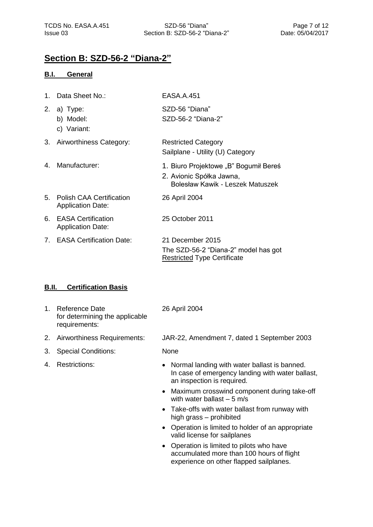### <span id="page-6-0"></span>**Section B: SZD-56-2 "Diana-2"**

### <span id="page-6-1"></span>**B.I. General**

| 1. | Data Sheet No.:                                             | <b>EASA.A.451</b>                                                                                     |
|----|-------------------------------------------------------------|-------------------------------------------------------------------------------------------------------|
| 2. | a) Type:<br>b) Model:<br>c) Variant:                        | SZD-56 "Diana"<br>SZD-56-2 "Diana-2"                                                                  |
|    | 3. Airworthiness Category:                                  | <b>Restricted Category</b><br>Sailplane - Utility (U) Category                                        |
| 4. | Manufacturer:                                               | 1. Biuro Projektowe "B" Bogumił Bereś<br>2. Avionic Spółka Jawna,<br>Bolesław Kawik - Leszek Matuszek |
| 5. | <b>Polish CAA Certification</b><br><b>Application Date:</b> | 26 April 2004                                                                                         |
| 6. | <b>EASA Certification</b><br><b>Application Date:</b>       | 25 October 2011                                                                                       |
|    | 7. EASA Certification Date:                                 | 21 December 2015<br>The SZD-56-2 "Diana-2" model has got<br><b>Restricted Type Certificate</b>        |
|    |                                                             |                                                                                                       |

### <span id="page-6-2"></span>**B.II. Certification Basis**

- 1. Reference Date for determining the applicable requirements:
- 
- 3. Special Conditions: None
- 

26 April 2004

2. Airworthiness Requirements: JAR-22, Amendment 7, dated 1 September 2003

- 4. Restrictions: **and Strips and Strips Commanders** Normal landing with water ballast is banned. In case of emergency landing with water ballast, an inspection is required.
	- Maximum crosswind component during take-off with water ballast  $-5$  m/s
	- Take-offs with water ballast from runway with high grass – prohibited
	- Operation is limited to holder of an appropriate valid license for sailplanes
	- Operation is limited to pilots who have accumulated more than 100 hours of flight experience on other flapped sailplanes.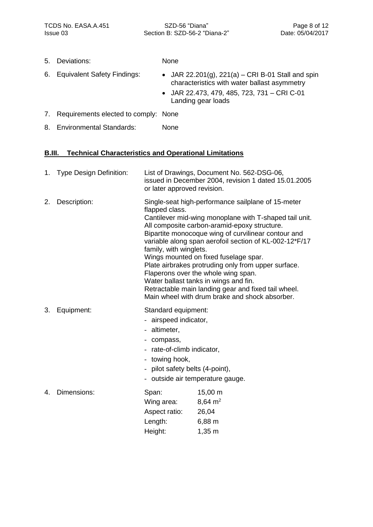Section B: SZD-56-2 "Diana-2" Issue 03 Date: 05/04/2017

5. Deviations: None

- 
- 6. Equivalent Safety Findings: JAR 22.201(g), 221(a) CRI B-01 Stall and spin characteristics with water ballast asymmetry
	- JAR 22.473, 479, 485, 723, 731 CRI C-01 Landing gear loads
- 7. Requirements elected to comply: None
- 8. Environmental Standards: None

### <span id="page-7-0"></span>**B.III. Technical Characteristics and Operational Limitations**

|    | 1. Type Design Definition: | List of Drawings, Document No. 562-DSG-06,<br>issued in December 2004, revision 1 dated 15.01.2005<br>or later approved revision.                                                                                                                                                                                                                                                                                                                                                                                                                                                                                  |                                                                           |  |  |
|----|----------------------------|--------------------------------------------------------------------------------------------------------------------------------------------------------------------------------------------------------------------------------------------------------------------------------------------------------------------------------------------------------------------------------------------------------------------------------------------------------------------------------------------------------------------------------------------------------------------------------------------------------------------|---------------------------------------------------------------------------|--|--|
| 2. | Description:               | Single-seat high-performance sailplane of 15-meter<br>flapped class.<br>Cantilever mid-wing monoplane with T-shaped tail unit.<br>All composite carbon-aramid-epoxy structure.<br>Bipartite monocoque wing of curvilinear contour and<br>variable along span aerofoil section of KL-002-12*F/17<br>family, with winglets.<br>Wings mounted on fixed fuselage spar.<br>Plate airbrakes protruding only from upper surface.<br>Flaperons over the whole wing span.<br>Water ballast tanks in wings and fin.<br>Retractable main landing gear and fixed tail wheel.<br>Main wheel with drum brake and shock absorber. |                                                                           |  |  |
| 3. | Equipment:                 | Standard equipment:<br>- airspeed indicator,<br>- altimeter,<br>- compass,<br>- rate-of-climb indicator,<br>- towing hook,<br>- pilot safety belts (4-point),<br>- outside air temperature gauge.                                                                                                                                                                                                                                                                                                                                                                                                                  |                                                                           |  |  |
| 4. | Dimensions:                | Span:<br>Wing area:<br>Aspect ratio:<br>Length:<br>Height:                                                                                                                                                                                                                                                                                                                                                                                                                                                                                                                                                         | $15,00 \; m$<br>$8,64 \text{ m}^2$<br>26,04<br>$6,88 \; m$<br>$1,35 \; m$ |  |  |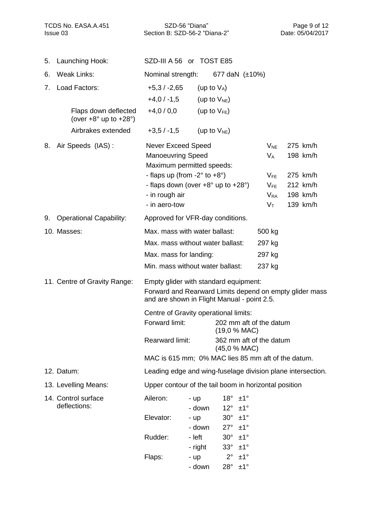Section B: SZD-56-2 "Diana-2" Issue 03 Date: 05/04/2017

| 5. | Launching Hook:                                                  | SZD-III A 56 or TOST E85                                                                               |                   |                                                  |                      |                      |  |
|----|------------------------------------------------------------------|--------------------------------------------------------------------------------------------------------|-------------------|--------------------------------------------------|----------------------|----------------------|--|
| 6. | <b>Weak Links:</b>                                               | Nominal strength:                                                                                      |                   | 677 daN $(\pm 10\%)$                             |                      |                      |  |
| 7. | Load Factors:                                                    | $+5,3/ -2,65$                                                                                          | (up to $V_A$ )    |                                                  |                      |                      |  |
|    |                                                                  | $+4,0/ -1,5$                                                                                           |                   | (up to $V_{NE}$ )                                |                      |                      |  |
|    | Flaps down deflected<br>(over $+8^{\circ}$ up to $+28^{\circ}$ ) | $+4,0/0,0$                                                                                             |                   | (up to $V_{FE}$ )                                |                      |                      |  |
|    | Airbrakes extended                                               | $+3,5/ -1,5$                                                                                           |                   | (up to $V_{NE}$ )                                |                      |                      |  |
| 8. | Air Speeds (IAS):                                                | <b>Never Exceed Speed</b>                                                                              |                   |                                                  | $V_{NE}$             | 275 km/h             |  |
|    |                                                                  | <b>Manoeuvring Speed</b>                                                                               |                   |                                                  | $V_A$                | 198 km/h             |  |
|    |                                                                  | Maximum permitted speeds:                                                                              |                   |                                                  |                      |                      |  |
|    |                                                                  | - flaps up (from $-2^\circ$ to $+8^\circ$ )                                                            |                   |                                                  | $V_{FE}$             | 275 km/h<br>212 km/h |  |
|    |                                                                  | - flaps down (over +8° up to +28°)<br>- in rough air                                                   |                   |                                                  | $V_{FE}$<br>$V_{RA}$ | 198 km/h             |  |
|    |                                                                  | - in aero-tow                                                                                          |                   |                                                  | $V_T$                | 139 km/h             |  |
| 9. | <b>Operational Capability:</b>                                   | Approved for VFR-day conditions.                                                                       |                   |                                                  |                      |                      |  |
|    | 10. Masses:                                                      | Max. mass with water ballast:                                                                          |                   |                                                  | 500 kg               |                      |  |
|    |                                                                  | Max. mass without water ballast:                                                                       |                   |                                                  | 297 kg               |                      |  |
|    |                                                                  | Max. mass for landing:                                                                                 |                   |                                                  | 297 kg               |                      |  |
|    |                                                                  | Min. mass without water ballast:                                                                       |                   |                                                  | 237 kg               |                      |  |
|    | 11. Centre of Gravity Range:                                     | Empty glider with standard equipment:                                                                  |                   |                                                  |                      |                      |  |
|    |                                                                  | Forward and Rearward Limits depend on empty glider mass<br>and are shown in Flight Manual - point 2.5. |                   |                                                  |                      |                      |  |
|    |                                                                  | Centre of Gravity operational limits:                                                                  |                   |                                                  |                      |                      |  |
|    |                                                                  | Forward limit:                                                                                         |                   | 202 mm aft of the datum<br>(19,0 % MAC)          |                      |                      |  |
|    |                                                                  | Rearward limit:                                                                                        |                   | 362 mm aft of the datum<br>(45,0 % MAC)          |                      |                      |  |
|    |                                                                  | MAC is 615 mm; 0% MAC lies 85 mm aft of the datum.                                                     |                   |                                                  |                      |                      |  |
|    | 12. Datum:                                                       | Leading edge and wing-fuselage division plane intersection.                                            |                   |                                                  |                      |                      |  |
|    | 13. Levelling Means:                                             | Upper contour of the tail boom in horizontal position                                                  |                   |                                                  |                      |                      |  |
|    | 14. Control surface                                              | Aileron:                                                                                               | - up              | $18^\circ \pm 1^\circ$                           |                      |                      |  |
|    | deflections:                                                     |                                                                                                        | - down            | $12^\circ \pm 1^\circ$                           |                      |                      |  |
|    |                                                                  | Elevator:                                                                                              | - up              | $30^\circ \pm 1^\circ$                           |                      |                      |  |
|    |                                                                  |                                                                                                        | - down            | $27^\circ \pm 1^\circ$                           |                      |                      |  |
|    |                                                                  | Rudder:                                                                                                | - left<br>- right | $30^\circ \pm 1^\circ$<br>$33^\circ \pm 1^\circ$ |                      |                      |  |
|    |                                                                  | Flaps:                                                                                                 | $-$ up            | $2^{\circ}$<br>±1°                               |                      |                      |  |
|    |                                                                  |                                                                                                        | - down            | $28^\circ \pm 1^\circ$                           |                      |                      |  |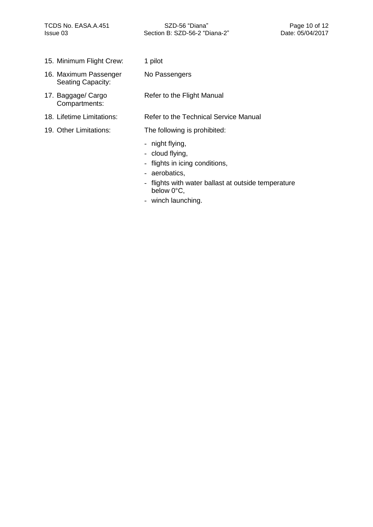- 15. Minimum Flight Crew: 1 pilot
- 16. Maximum Passenger Seating Capacity:
- 17. Baggage/ Cargo Compartments:
- 
- 

No Passengers

Refer to the Flight Manual

#### 18. Lifetime Limitations: Refer to the Technical Service Manual

19. Other Limitations: The following is prohibited:

- night flying,
- cloud flying,
- flights in icing conditions,
- aerobatics,
- flights with water ballast at outside temperature below 0°C,
- winch launching.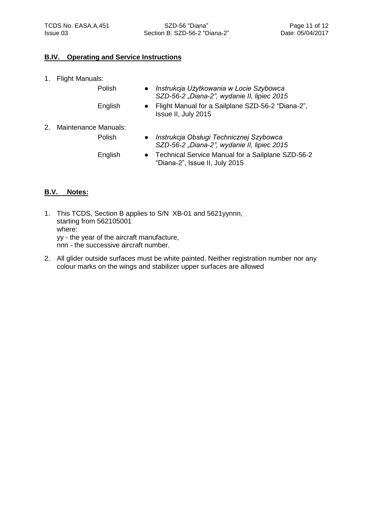### <span id="page-10-0"></span>**B.IV. Operating and Service Instructions**

Polish

English

- 1. Flight Manuals:
- *Instrukcja Użytkowania w Locie Szybowca SZD-56-2 "Diana-2", wydanie II, lipiec 2015*
- Flight Manual for a Sailplane SZD-56-2 "Diana-2", Issue II, July 2015
- 2. Maintenance Manuals: Polish
- *Instrukcja Obsługi Technicznej Szybowca SZD-56-2 "Diana-2", wydanie II, lipiec 2015*

English

● Technical Service Manual for a Sailplane SZD-56-2 "Diana-2", Issue II, July 2015

### <span id="page-10-1"></span>**B.V. Notes:**

- 1. This TCDS, Section B applies to S/N XB-01 and 5621yynnn, starting from 562105001 where: yy - the year of the aircraft manufacture, nnn - the successive aircraft number.
- 2. All glider outside surfaces must be white painted. Neither registration number nor any colour marks on the wings and stabilizer upper surfaces are allowed